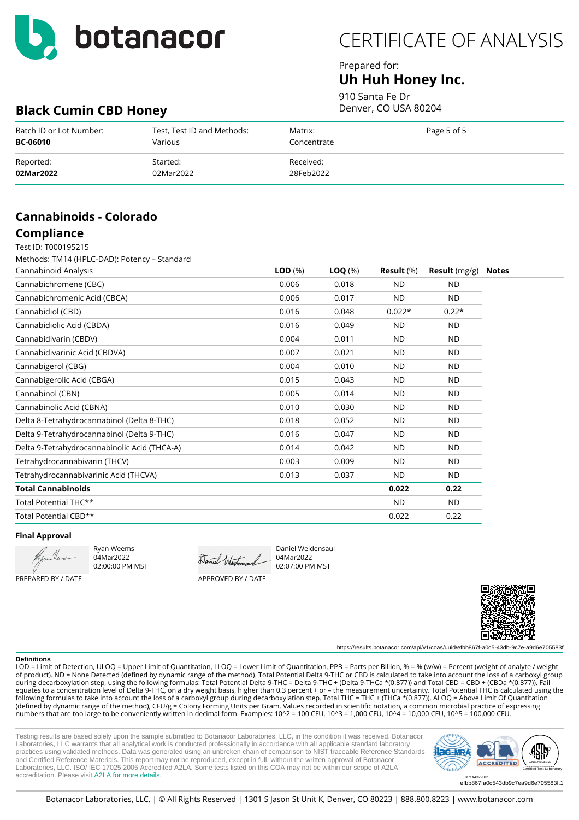

## Prepared for: **Uh Huh Honey Inc.**

910 Santa Fe Dr Denver, CO USA 80204

# **Black Cumin CBD Honey**

| Batch ID or Lot Number: | Test, Test ID and Methods: | Matrix:     | Page 5 of 5 |
|-------------------------|----------------------------|-------------|-------------|
| <b>BC-06010</b>         | Various                    | Concentrate |             |
| Reported:               | Started:                   | Received:   |             |
| 02Mar2022               | 02Mar2022                  | 28Feb2022   |             |

## **Cannabinoids - Colorado Compliance**

## Test ID: T000195215

Methods: TM14 (HPLC-DAD): Potency – Standard

| Cannabinoid Analysis                         | LOD <sub>(%)</sub> | $\textsf{LOQ}(\%)$ | Result (%) | <b>Result</b> $(mg/g)$ |
|----------------------------------------------|--------------------|--------------------|------------|------------------------|
| Cannabichromene (CBC)                        | 0.006              | 0.018              | <b>ND</b>  | <b>ND</b>              |
| Cannabichromenic Acid (CBCA)                 | 0.006              | 0.017              | ND.        | <b>ND</b>              |
| Cannabidiol (CBD)                            | 0.016              | 0.048              | $0.022*$   | $0.22*$                |
| Cannabidiolic Acid (CBDA)                    | 0.016              | 0.049              | ND.        | ND.                    |
| Cannabidivarin (CBDV)                        | 0.004              | 0.011              | <b>ND</b>  | ND.                    |
| Cannabidivarinic Acid (CBDVA)                | 0.007              | 0.021              | <b>ND</b>  | ND.                    |
| Cannabigerol (CBG)                           | 0.004              | 0.010              | <b>ND</b>  | ND.                    |
| Cannabigerolic Acid (CBGA)                   | 0.015              | 0.043              | <b>ND</b>  | <b>ND</b>              |
| Cannabinol (CBN)                             | 0.005              | 0.014              | <b>ND</b>  | <b>ND</b>              |
| Cannabinolic Acid (CBNA)                     | 0.010              | 0.030              | <b>ND</b>  | <b>ND</b>              |
| Delta 8-Tetrahydrocannabinol (Delta 8-THC)   | 0.018              | 0.052              | <b>ND</b>  | <b>ND</b>              |
| Delta 9-Tetrahydrocannabinol (Delta 9-THC)   | 0.016              | 0.047              | <b>ND</b>  | <b>ND</b>              |
| Delta 9-Tetrahydrocannabinolic Acid (THCA-A) | 0.014              | 0.042              | ND         | <b>ND</b>              |
| Tetrahydrocannabivarin (THCV)                | 0.003              | 0.009              | <b>ND</b>  | <b>ND</b>              |
| Tetrahydrocannabivarinic Acid (THCVA)        | 0.013              | 0.037              | <b>ND</b>  | <b>ND</b>              |
| Total Cannabinoids                           |                    |                    | 0.022      | 0.22                   |
| Total Potential THC**                        |                    |                    | <b>ND</b>  | <b>ND</b>              |
| Total Potential CBD**                        |                    |                    | 0.022      | 0.22                   |

### **Final Approval**

PREPARED BY / DATE

Ryan Weems 04Mar2022 02:00:00 PM MST

Daniel Westers

04Mar2022 02:07:00 PM MST

APPROVED BY / DATE



https://results.botanacor.com/api/v1/coas/uuid/efbb867f-a0c5-43db-9c7e-a9d6e705583f

#### **Definitions**

LOD = Limit of Detection, ULOQ = Upper Limit of Quantitation, LLOQ = Lower Limit of Quantitation, PPB = Parts per Billion, % = % (w/w) = Percent (weight of analyte / weight of product). ND = None Detected (defined by dynamic range of the method). Total Potential Delta 9-THC or CBD is calculated to take into account the loss of a carboxyl group during decarboxylation step, using the following formulas: Total Potential Delta 9-THC = Delta 9-THC + (Delta 9-THCa \*(0.877)) and Total CBD = CBD + (CBDa \*(0.877)). Fail equates to a concentration level of Delta 9-THC, on a dry weight basis, higher than 0.3 percent + or – the measurement uncertainty. Total Potential THC is calculated using the following formulas to take into account the loss of a carboxyl group during decarboxylation step. Total THC = THC + (THCa \*(0.877)). ALOQ = Above Limit Of Quantitation (defined by dynamic range of the method), CFU/g = Colony Forming Units per Gram. Values recorded in scientific notation, a common microbial practice of expressing numbers that are too large to be conveniently written in decimal form. Examples: 10^2 = 100 CFU, 10^3 = 1,000 CFU, 10^4 = 10,000 CFU, 10^5 = 100,000 CFU.

Daniel Weidensaul

Testing results are based solely upon the sample submitted to Botanacor Laboratories, LLC, in the condition it was received. Botanacor Laboratories, LLC warrants that all analytical work is conducted professionally in accordance with all applicable standard laboratory practices using validated methods. Data was generated using an unbroken chain of comparison to NIST traceable Reference Standards and Certified Reference Materials. This report may not be reproduced, except in full, without the written approval of Botanacor Laboratories, LLC. ISO/ IEC 17025:2005 Accredited A2LA. Some tests listed on this COA may not be within our scope of A2LA accreditation. Please visit [A2LA for more details.](https://customer.a2la.org/index.cfm?event=directory.detail&labPID=2B1E6818-FC3D-4C8E-9B2F-A9718DA00282)



efbb867fa0c543db9c7ea9d6e705583f.1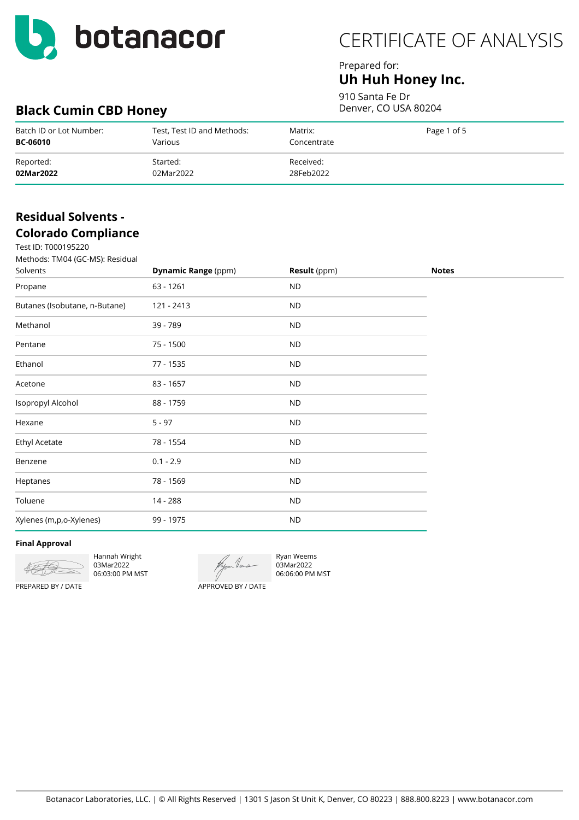

## Prepared for: **Uh Huh Honey Inc.**

910 Santa Fe Dr Denver, CO USA 80204

# **Black Cumin CBD Honey**

| Batch ID or Lot Number: | Test, Test ID and Methods: | Matrix:     | Page 1 of 5 |
|-------------------------|----------------------------|-------------|-------------|
| <b>BC-06010</b>         | Various                    | Concentrate |             |
| Reported:               | Started:                   | Received:   |             |
| 02Mar2022               | 02Mar2022                  | 28Feb2022   |             |

# **Residual Solvents - Colorado Compliance**

 $T_{000105220}$ 

| Test ID: T000195220<br>Methods: TM04 (GC-MS): Residual<br>Solvents | <b>Dynamic Range (ppm)</b> | <b>Result</b> (ppm) | <b>Notes</b> |
|--------------------------------------------------------------------|----------------------------|---------------------|--------------|
| Propane                                                            | 63 - 1261                  | <b>ND</b>           |              |
| Butanes (Isobutane, n-Butane)                                      | 121 - 2413                 | ${\sf ND}$          |              |
| Methanol                                                           | 39 - 789                   | <b>ND</b>           |              |
| Pentane                                                            | 75 - 1500                  | <b>ND</b>           |              |
| Ethanol                                                            | 77 - 1535                  | <b>ND</b>           |              |
| Acetone                                                            | 83 - 1657                  | <b>ND</b>           |              |
| Isopropyl Alcohol                                                  | 88 - 1759                  | <b>ND</b>           |              |
| Hexane                                                             | $5 - 97$                   | <b>ND</b>           |              |
| Ethyl Acetate                                                      | 78 - 1554                  | <b>ND</b>           |              |
| Benzene                                                            | $0.1 - 2.9$                | <b>ND</b>           |              |
| Heptanes                                                           | 78 - 1569                  | <b>ND</b>           |              |
| Toluene                                                            | 14 - 288                   | <b>ND</b>           |              |
| Xylenes (m,p,o-Xylenes)                                            | 99 - 1975                  | ${\sf ND}$          |              |
|                                                                    |                            |                     |              |

### **Final Approval**



Hannah Wright 03Mar2022 06:03:00 PM MST

Ryan Weems 03Mar2022 06:06:00 PM MST

PREPARED BY / DATE

APPROVED BY / DATE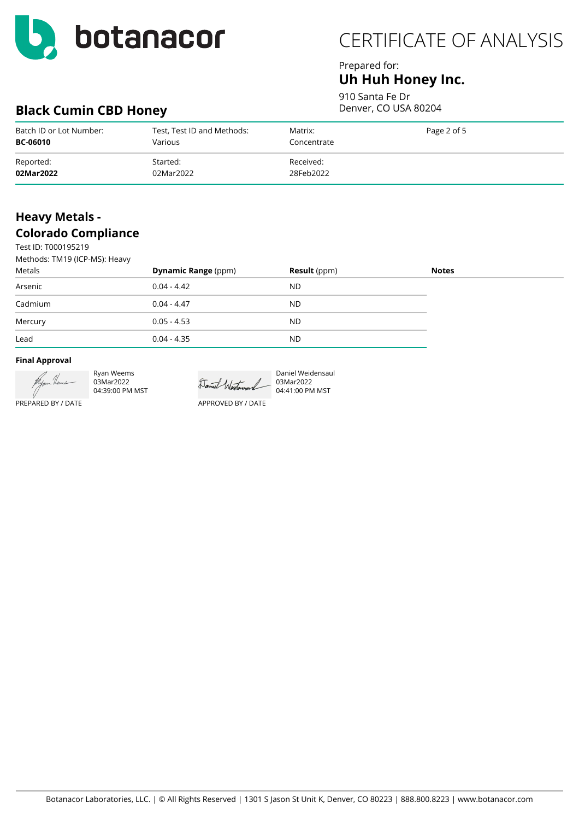

## Prepared for: **Uh Huh Honey Inc.**

910 Santa Fe Dr Denver, CO USA 80204

# **Black Cumin CBD Honey**

| Batch ID or Lot Number: | Test, Test ID and Methods: | Matrix:     | Page 2 of 5 |
|-------------------------|----------------------------|-------------|-------------|
| <b>BC-06010</b>         | Various                    | Concentrate |             |
| Reported:               | Started:                   | Received:   |             |
| 02Mar2022               | 02Mar2022                  | 28Feb2022   |             |

# **Heavy Metals - Colorado Compliance**

Test ID: T000195219  $M_{\odot}$  TM14 (ICP-MC): H

| Methods: TMT9 (ICP-MS): Heavy |                            |                     |              |
|-------------------------------|----------------------------|---------------------|--------------|
| Metals                        | <b>Dynamic Range (ppm)</b> | <b>Result</b> (ppm) | <b>Notes</b> |
| Arsenic                       | $0.04 - 4.42$              | ND.                 |              |
| Cadmium                       | $0.04 - 4.47$              | ND.                 |              |
| Mercury                       | $0.05 - 4.53$              | ND.                 |              |
| Lead                          | $0.04 - 4.35$              | ND.                 |              |

### **Final Approval**



Ryan Weems 03Mar2022 04:39:00 PM MST

Daniel Westerand 03Mar2022

Daniel Weidensaul 04:41:00 PM MST

PREPARED BY / DATE

APPROVED BY / DATE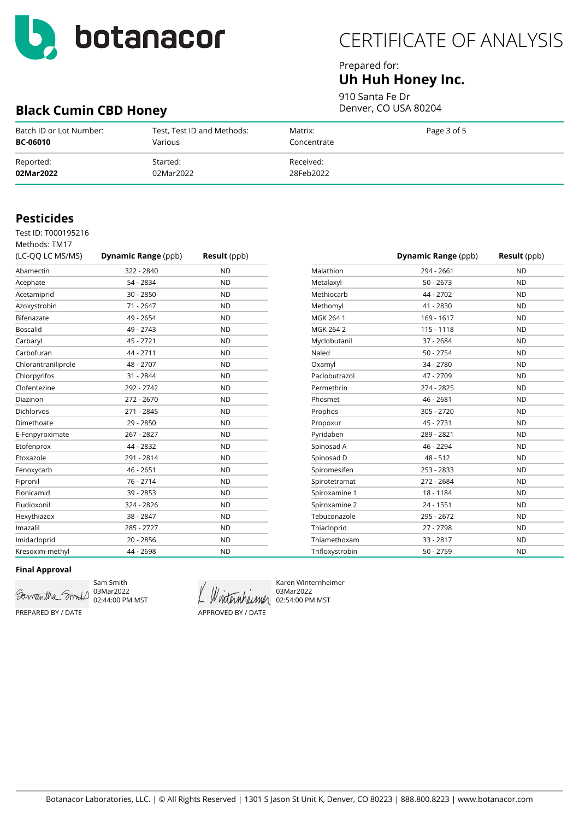

**Black Cumin CBD Honey**

# CERTIFICATE OF ANALYSIS

### Prepared for: **Uh Huh Honey Inc.**

910 Santa Fe Dr

Denver, CO USA 80204

| Batch ID or Lot Number: | Test, Test ID and Methods: | Matrix:     | Page 3 of 5 |
|-------------------------|----------------------------|-------------|-------------|
| <b>BC-06010</b>         | Various                    | Concentrate |             |
| Reported:               | Started:                   | Received:   |             |
| 02Mar2022               | 02Mar2022                  | 28Feb2022   |             |

## **Pesticides**

Test ID: T000195216

| Methods: TM17       |                            |                     |
|---------------------|----------------------------|---------------------|
| (LC-QQ LC MS/MS)    | <b>Dynamic Range (ppb)</b> | <b>Result</b> (ppb) |
| Abamectin           | 322 - 2840                 | <b>ND</b>           |
| Acephate            | 54 - 2834                  | <b>ND</b>           |
| Acetamiprid         | $30 - 2850$                | <b>ND</b>           |
| Azoxystrobin        | 71 - 2647                  | <b>ND</b>           |
| Bifenazate          | 49 - 2654                  | <b>ND</b>           |
| <b>Boscalid</b>     | 49 - 2743                  | <b>ND</b>           |
| Carbaryl            | 45 - 2721                  | <b>ND</b>           |
| Carbofuran          | 44 - 2711                  | <b>ND</b>           |
| Chlorantraniliprole | 48 - 2707                  | <b>ND</b>           |
| Chlorpyrifos        | 31 - 2844                  | <b>ND</b>           |
| Clofentezine        | 292 - 2742                 | <b>ND</b>           |
| Diazinon            | 272 - 2670                 | <b>ND</b>           |
| <b>Dichlorvos</b>   | 271 - 2845                 | <b>ND</b>           |
| Dimethoate          | 29 - 2850                  | <b>ND</b>           |
| E-Fenpyroximate     | 267 - 2827                 | <b>ND</b>           |
| Etofenprox          | 44 - 2832                  | <b>ND</b>           |
| Etoxazole           | 291 - 2814                 | <b>ND</b>           |
| Fenoxycarb          | $46 - 2651$                | <b>ND</b>           |
| Fipronil            | 76 - 2714                  | <b>ND</b>           |
| Flonicamid          | $39 - 2853$                | <b>ND</b>           |
| Fludioxonil         | 324 - 2826                 | <b>ND</b>           |
| Hexythiazox         | 38 - 2847                  | <b>ND</b>           |
| Imazalil            | 285 - 2727                 | <b>ND</b>           |
| Imidacloprid        | $20 - 2856$                | <b>ND</b>           |
| Kresoxim-methyl     | 44 - 2698                  | <b>ND</b>           |

|                 | <b>Dynamic Range (ppb)</b> | <b>Result</b> (ppb) |
|-----------------|----------------------------|---------------------|
| Malathion       | 294 - 2661                 | <b>ND</b>           |
| Metalaxyl       | $50 - 2673$                | <b>ND</b>           |
| Methiocarb      | 44 - 2702                  | <b>ND</b>           |
| Methomyl        | 41 - 2830                  | <b>ND</b>           |
| MGK 264 1       | 169 - 1617                 | <b>ND</b>           |
| MGK 264 2       | $115 - 1118$               | <b>ND</b>           |
| Myclobutanil    | 37 - 2684                  | <b>ND</b>           |
| Naled           | $50 - 2754$                | <b>ND</b>           |
| Oxamyl          | 34 - 2780                  | <b>ND</b>           |
| Paclobutrazol   | 47 - 2709                  | <b>ND</b>           |
| Permethrin      | 274 - 2825                 | <b>ND</b>           |
| Phosmet         | 46 - 2681                  | <b>ND</b>           |
| Prophos         | 305 - 2720                 | <b>ND</b>           |
| Propoxur        | 45 - 2731                  | <b>ND</b>           |
| Pyridaben       | 289 - 2821                 | <b>ND</b>           |
| Spinosad A      | 46 - 2294                  | <b>ND</b>           |
| Spinosad D      | $48 - 512$                 | <b>ND</b>           |
| Spiromesifen    | 253 - 2833                 | <b>ND</b>           |
| Spirotetramat   | 272 - 2684                 | <b>ND</b>           |
| Spiroxamine 1   | 18 - 1184                  | <b>ND</b>           |
| Spiroxamine 2   | 24 - 1551                  | <b>ND</b>           |
| Tebuconazole    | 295 - 2672                 | <b>ND</b>           |
| Thiacloprid     | 27 - 2798                  | <b>ND</b>           |
| Thiamethoxam    | $33 - 2817$                | <b>ND</b>           |
| Trifloxystrobin | $50 - 2759$                | <b>ND</b>           |

### **Final Approval**



Sam Smith 03Mar2022 02:44:00 PM MST

APPROVED BY / DATE

Karen Winternheimer 03Mar2022 Winternheimer 02:54:00 PM MST

PREPARED BY / DATE